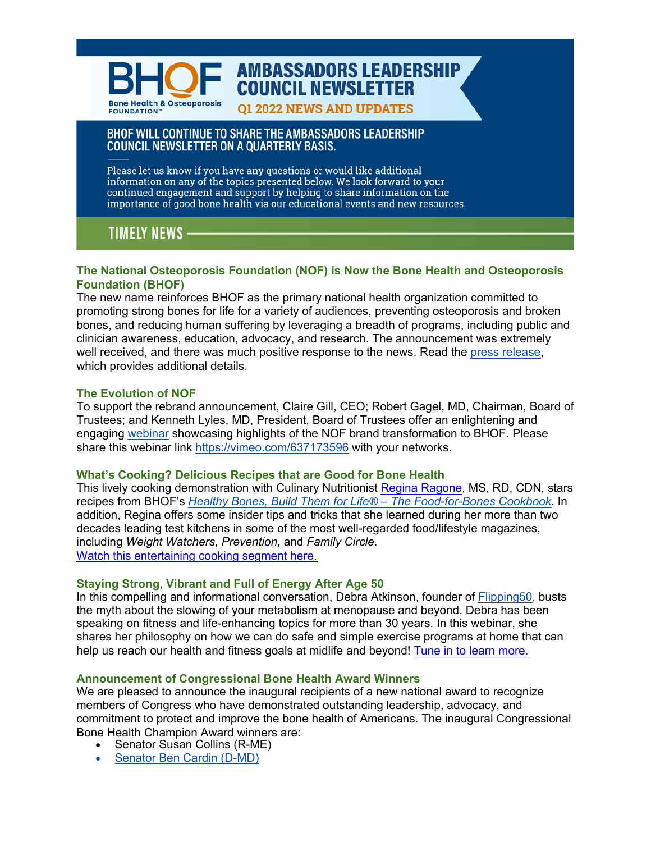

# **AMBASSADORS LEADERSHIP COUNCIL NEWSLETTER**

#### **01 2022 NEWS AND UPDATES**

## BHOF WILL CONTINUE TO SHARE THE AMBASSADORS LEADERSHIP **COUNCIL NEWSLETTER ON A QUARTERLY BASIS.**

Please let us know if you have any questions or would like additional information on any of the topics presented below. We look forward to your continued engagement and support by helping to share information on the importance of good bone health via our educational events and new resources.

# **TIMELY NEWS**

## **The National Osteoporosis Foundation (NOF) is Now the Bone Health and Osteoporosis Foundation (BHOF)**

The new name reinforces BHOF as the primary national health organization committed to promoting strong bones for life for a variety of audiences, preventing osteoporosis and broken bones, and reducing human suffering by leveraging a breadth of programs, including public and clinician awareness, education, advocacy, and research. The announcement was extremely well received, and there was much positive response to the news. Read the [press release,](https://www.bonehealthandosteoporosis.org/news/national-osteoporosis-foundation-is-now-bone-health-and-osteoporosis-foundation/)  which provides additional details.

## **The Evolution of NOF**

To support the rebrand announcement, Claire Gill, CEO; Robert Gagel, MD, Chairman, Board of Trustees; and Kenneth Lyles, MD, President, Board of Trustees offer an enlightening and engagi[ng webinar](https://vimeo.com/637173596) showcasing highlights of the NOF brand transformation to BHOF. Please share this webinar link <https://vimeo.com/637173596> with your networks.

## **What's Cooking? Delicious Recipes that are Good for Bone Health**

This lively cooking demonstration with Culinary Nutritionist Regina [Ragone,](https://www.reginaragone.com/regina) MS, RD, CDN, stars recipes from BHOF's *Healthy Bones, Build Them for Life® – The [Food-for-Bones](https://store.nof.org/products/food-for-bones-cookbook) Cookbook*. In addition, Regina offers some insider tips and tricks that she learned during her more than two decades leading test kitchens in some of the most well-regarded food/lifestyle magazines, including *Weight Watchers, Prevention,* and *Family Circle*. Watch this [entertaining](https://vimeo.com/637279025) cooking segment here.

## **Staying Strong, Vibrant and Full of Energy After Age 50**

In this compelling and informational conversation, Debra Atkinson, founder of [Flipping50, b](https://www.flippingfifty.com)usts the myth about the slowing of your metabolism at menopause and beyond. Debra has been speaking on fitness and life-enhancing topics for more than 30 years. In this webinar, she shares her philosophy on how we can do safe and simple exercise programs at home that can help us reach our health and fitness goals at midlife and beyond! Tune in to learn [more.](https://vimeo.com/637188542)

## **Announcement of Congressional Bone Health Award Winners**

We are pleased to announce the inaugural recipients of a new national award to recognize members of Congress who have demonstrated outstanding leadership, advocacy, and commitment to protect and improve the bone health of Americans. The inaugural Congressional Bone Health Champion Award winners are:

- Senator Susan Collins (R-ME)
- Senator [Ben Cardin](https://www.bonehealthandosteoporosis.org/news/senator-cardin-selected-as-congressional-bone-health-champion-award-for-outstanding-leadership-advocacy-and-commitment/) (D-MD)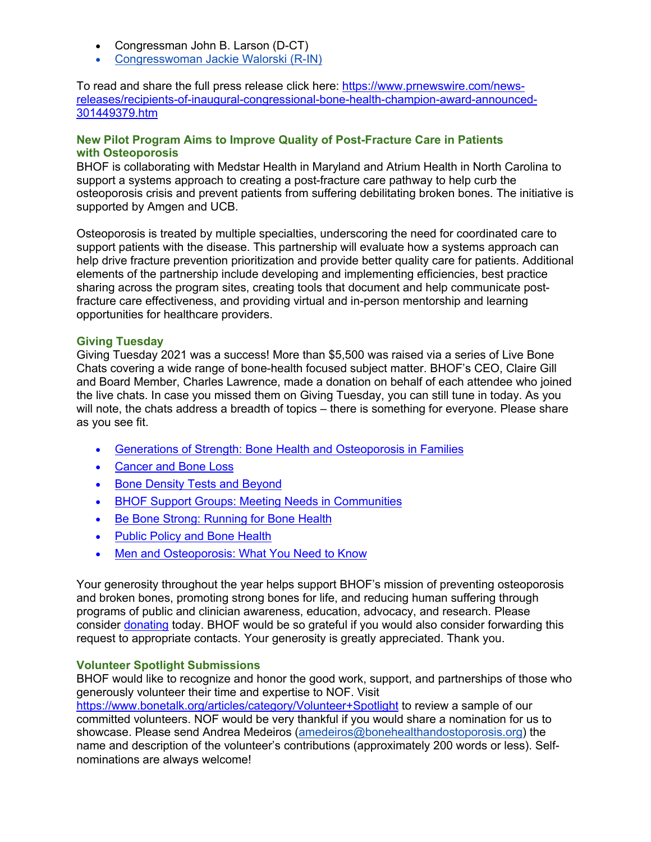- Congressman John B. Larson (D-CT)
- [Congresswoman](https://www.bonehealthandosteoporosis.org/news/rep-walorski-selected-as-congressional-bone-health-champion-award/) Jackie Walorski (R-IN)

To read and share the full press release click here: https://www.prnewswire.com/news[releases/recipients-of-inaugural-congressional-bone-health-champion-award-announced-](https://www.prnewswire.com/news-releases/recipients-of-inaugural-congressional-bone-health-champion-award-announced-301449379.html)301449379.htm

### **New Pilot Program Aims to Improve Quality of Post-Fracture Care in Patients with Osteoporosis**

BHOF is collaborating with Medstar Health in Maryland and Atrium Health in North Carolina to support a systems approach to creating a post-fracture care pathway to help curb the osteoporosis crisis and prevent patients from suffering debilitating broken bones. The initiative is supported by Amgen and UCB.

Osteoporosis is treated by multiple specialties, underscoring the need for coordinated care to support patients with the disease. This partnership will evaluate how a systems approach can help drive fracture prevention prioritization and provide better quality care for patients. Additional elements of the partnership include developing and implementing efficiencies, best practice sharing across the program sites, creating tools that document and help communicate postfracture care effectiveness, and providing virtual and in-person mentorship and learning opportunities for healthcare providers.

### **Giving Tuesday**

Giving Tuesday 2021 was a success! More than \$5,500 was raised via a series of Live Bone Chats covering a wide range of bone-health focused subject matter. BHOF's CEO, Claire Gill and Board Member, Charles Lawrence, made a donation on behalf of each attendee who joined the live chats. In case you missed them on Giving Tuesday, you can still tune in today. As you will note, the chats address a breadth of topics – there is something for everyone. Please share as you see fit.

- [Generations of Strength: Bone Health and Osteoporosis in Families](https://vimeo.com/651816967)
- [Cancer and Bone Loss](https://vimeo.com/651643646)
- [Bone Density Tests and Beyond](https://vimeo.com/651656569)
- [BHOF Support Groups: Meeting Needs in Communities](https://vimeo.com/651677743)
- [Be Bone Strong: Running for Bone Health](https://vimeo.com/651722826)
- [Public Policy and Bone Health](https://vimeo.com/651814183)
- [Men and Osteoporosis: What You Need to Know](https://vimeo.com/651813623)

Your generosity throughout the year helps support BHOF's mission of preventing osteoporosis and broken bones, promoting strong bones for life, and reducing human suffering through programs of public and clinician awareness, education, advocacy, and research. Please consider [donating](https://www.bonehealthandosteoporosis.org/support-bhof/donate/) today. BHOF would be so grateful if you would also consider forwarding this request to appropriate contacts. Your generosity is greatly appreciated. Thank you.

#### **Volunteer Spotlight Submissions**

BHOF would like to recognize and honor the good work, support, and partnerships of those who generously volunteer their time and expertise to NOF. Visit <https://www.bonetalk.org/articles/category/Volunteer+Spotlight> to review a sample of our

committed volunteers. NOF would be very thankful if you would share a nomination for us to showcase. Please send Andrea Medeiros (amedeiros@bonehealthandostoporosis.org) the name and description of the volunteer's contributions (approximately 200 words or less). Selfnominations are always welcome!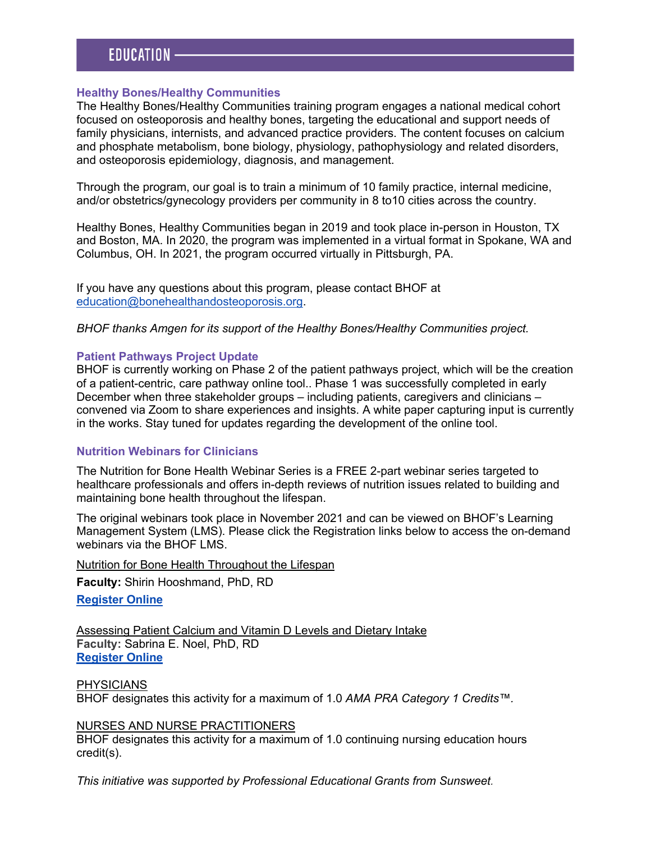#### **Healthy Bones/Healthy Communities**

The Healthy Bones/Healthy Communities training program engages a national medical cohort focused on osteoporosis and healthy bones, targeting the educational and support needs of family physicians, internists, and advanced practice providers. The content focuses on calcium and phosphate metabolism, bone biology, physiology, pathophysiology and related disorders, and osteoporosis epidemiology, diagnosis, and management.

Through the program, our goal is to train a minimum of 10 family practice, internal medicine, and/or obstetrics/gynecology providers per community in 8 to10 cities across the country.

Healthy Bones, Healthy Communities began in 2019 and took place in-person in Houston, TX and Boston, MA. In 2020, the program was implemented in a virtual format in Spokane, WA and Columbus, OH. In 2021, the program occurred virtually in Pittsburgh, PA.

If you have any questions about this program, please contact BHOF at education@bonehealthandosteoporosis.org.

*BHOF thanks Amgen for its support of the Healthy Bones/Healthy Communities project.*

#### **Patient Pathways Project Update**

BHOF is currently working on Phase 2 of the patient pathways project, which will be the creation of a patient-centric, care pathway online tool.. Phase 1 was successfully completed in early December when three stakeholder groups – including patients, caregivers and clinicians – convened via Zoom to share experiences and insights. A white paper capturing input is currently in the works. Stay tuned for updates regarding the development of the online tool.

#### **Nutrition Webinars for Clinicians**

The Nutrition for Bone Health Webinar Series is a FREE 2-part webinar series targeted to healthcare professionals and offers in-depth reviews of nutrition issues related to building and maintaining bone health throughout the lifespan.

The original webinars took place in November 2021 and can be viewed on BHOF's Learning Management System (LMS). Please click the Registration links below to access the on-demand webinars via the BHOF LMS.

Nutrition for Bone Health Throughout the Lifespan

**Faculty:** Shirin Hooshmand, PhD, RD

**[Register Online](https://cme.bonesource.org/content/nutrition-bone-health-throughout-lifespan)**

Assessing Patient Calcium and Vitamin D Levels and Dietary Intake **Faculty:** Sabrina E. Noel, PhD, RD **[Register Online](https://cme.bonesource.org/content/assessing-patient-calciumvitamin-d-levels-and-dietary-intake)**

**PHYSICIANS** BHOF designates this activity for a maximum of 1.0 *AMA PRA Category 1 Credits™.*

#### NURSES AND NURSE PRACTITIONERS

BHOF designates this activity for a maximum of 1.0 continuing nursing education hours credit(s).

*This initiative was supported by Professional Educational Grants from Sunsweet.*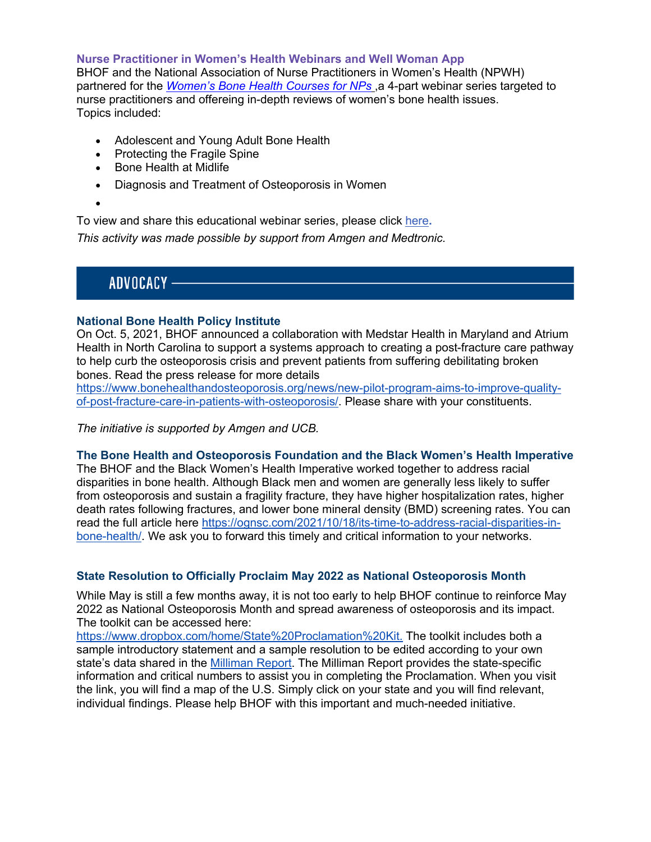**Nurse Practitioner in Women's Health Webinars and Well Woman App**

BHOF and the National Association of Nurse Practitioners in Women's Health (NPWH) partnered for the *[Women's Bone Health Courses for NPs](https://cme.nof.org/content/women%E2%80%99s-bone-health-courses-nurse-practitioners)* ,a 4-part webinar series targeted to nurse practitioners and offereing in-depth reviews of women's bone health issues. Topics included:

- Adolescent and Young Adult Bone Health
- Protecting the Fragile Spine
- Bone Health at Midlife
- Diagnosis and Treatment of Osteoporosis in Women

•

To view and share this educational webinar series, please [click here](https://cme.nof.org/content/women%E2%80%99s-bone-health-courses-nurse-practitioners)**.** 

*This activity was made possible by support from Amgen and Medtronic.*

ADVOCACY —

## **National Bone Health Policy Institute**

On Oct. 5, 2021, BHOF announced a collaboration with Medstar Health in Maryland and Atrium Health in North Carolina to support a systems approach to creating a post-fracture care pathway to help curb the osteoporosis crisis and prevent patients from suffering debilitating broken bones. Read the press release for more details

[https://www.bonehealthandosteoporosis.org/news/new-pilot-program-aims-to-improve-quality](https://www.bonehealthandosteoporosis.org/news/new-pilot-program-aims-to-improve-quality-of-post-fracture-care-in-patients-with-osteoporosis/)of-post-fracture-care-in-patients-with-osteoporosis/. Please share with your constituents.

*The initiative is supported by Amgen and UCB.*

## **The Bone Health and Osteoporosis Foundation and the Black Women's Health Imperative**

The BHOF and the Black Women's Health Imperative worked together to address racial disparities in bone health. Although Black men and women are generally less likely to suffer from osteoporosis and sustain a fragility fracture, they have higher hospitalization rates, higher death rates following fractures, and lower bone mineral density (BMD) screening rates. You can [read the full article here https://ognsc.com/2021/10/18/its-time-to-address-racial-disparities-in](https://ognsc.com/2021/10/18/its-time-to-address-racial-disparities-in-bone-health/)bone-health/. We ask you to forward this timely and critical information to your networks.

## **State Resolution to Officially Proclaim May 2022 as National Osteoporosis Month**

While May is still a few months away, it is not too early to help BHOF continue to reinforce May 2022 as National Osteoporosis Month and spread awareness of osteoporosis and its impact. The toolkit can be accessed here:

[https://www.dropbox.com/home/State%20Proclamation%20Kit.](https://www.dropbox.com/login?cont=%2Fhome%2FState%252520Proclamation%252520Kit) The toolkit includes both a sample introductory statement and a sample resolution to be edited according to your own state's data shared in th[e Milliman Report. T](https://www.bonehealthpolicyinstitute.org/state-reports-2021)he Milliman Report provides the state-specific information and critical numbers to assist you in completing the Proclamation. When you visit the link, you will find a map of the U.S. Simply click on your state and you will find relevant, individual findings. Please help BHOF with this important and much-needed initiative.